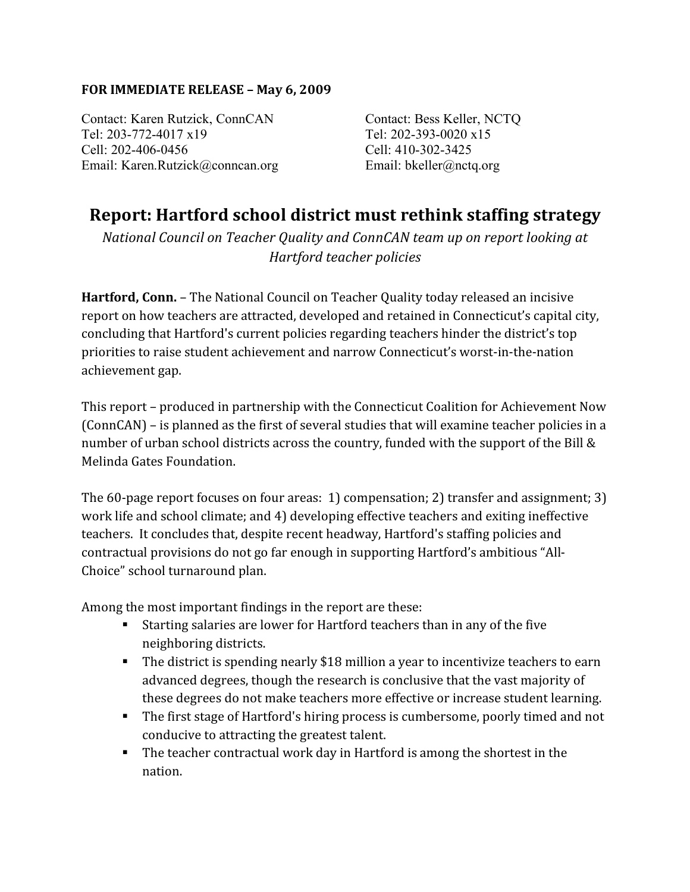## **FOR IMMEDIATE RELEASE – May 6, 2009**

Contact: Karen Rutzick, ConnCAN Tel: 203-772-4017 x19 Cell: 202-406-0456 Email: Karen.Rutzick@conncan.org

Contact: Bess Keller, NCTQ Tel: 202-393-0020 x15 Cell: 410-302-3425 Email: bkeller@nctq.org

## **Report: Hartford school district must rethink staffing strategy**

*National Council on Teacher Quality and ConnCAN team up on report looking at Hartford teacher policies*

**Hartford, Conn.** – The National Council on Teacher Quality today released an incisive report on how teachers are attracted, developed and retained in Connecticut's capital city, concluding that Hartford's current policies regarding teachers hinder the district's top priorities to raise student achievement and narrow Connecticut's worst‐in‐the‐nation achievement gap.

This report – produced in partnership with the Connecticut Coalition for Achievement Now (ConnCAN) – is planned as the first of several studies that will examine teacher policies in a number of urban school districts across the country, funded with the support of the Bill & Melinda Gates Foundation.

The 60-page report focuses on four areas: 1) compensation; 2) transfer and assignment; 3) work life and school climate; and 4) developing effective teachers and exiting ineffective teachers. It concludes that, despite recent headway, Hartford's staffing policies and contractual provisions do not go far enough in supporting Hartford's ambitious "All‐ Choice" school turnaround plan.

Among the most important findings in the report are these:

- Starting salaries are lower for Hartford teachers than in any of the five neighboring districts.
- The district is spending nearly \$18 million a year to incentivize teachers to earn advanced degrees, though the research is conclusive that the vast majority of these degrees do not make teachers more effective or increase student learning.
- The first stage of Hartford's hiring process is cumbersome, poorly timed and not conducive to attracting the greatest talent.
- The teacher contractual work day in Hartford is among the shortest in the nation.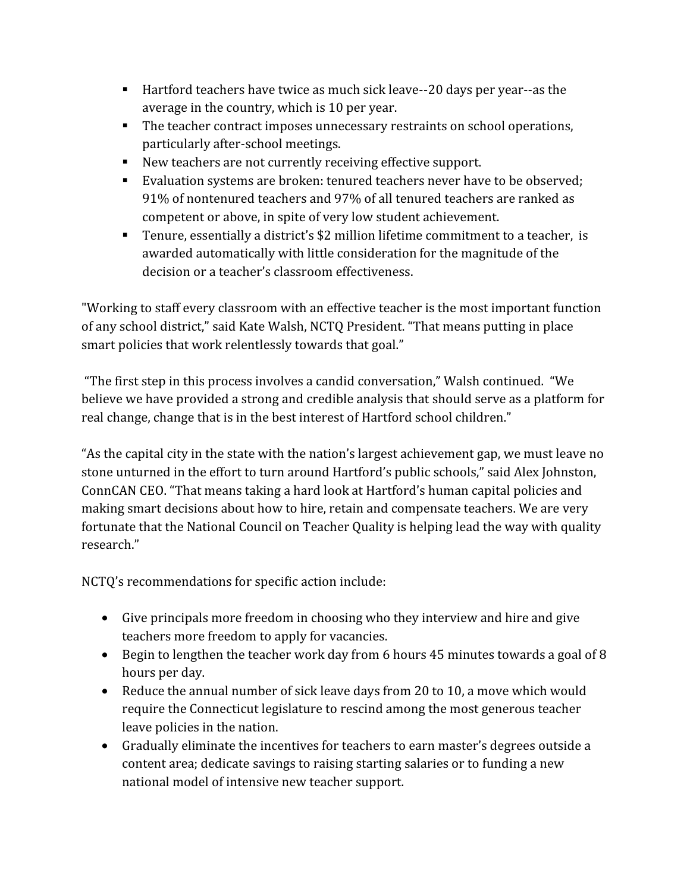- Hartford teachers have twice as much sick leave--20 days per year--as the average in the country, which is 10 per year.
- The teacher contract imposes unnecessary restraints on school operations, particularly after‐school meetings.
- New teachers are not currently receiving effective support.
- Evaluation systems are broken: tenured teachers never have to be observed; 91% of nontenured teachers and 97% of all tenured teachers are ranked as competent or above, in spite of very low student achievement.
- Tenure, essentially a district's \$2 million lifetime commitment to a teacher, is awarded automatically with little consideration for the magnitude of the decision or a teacher's classroom effectiveness.

"Working to staff every classroom with an effective teacher is the most important function of any school district," said Kate Walsh, NCTQ President. "That means putting in place smart policies that work relentlessly towards that goal."

 "The first step in this process involves a candid conversation," Walsh continued. "We believe we have provided a strong and credible analysis that should serve as a platform for real change, change that is in the best interest of Hartford school children."

"As the capital city in the state with the nation's largest achievement gap, we must leave no stone unturned in the effort to turn around Hartford's public schools," said Alex Johnston, ConnCAN CEO. "That means taking a hard look at Hartford's human capital policies and making smart decisions about how to hire, retain and compensate teachers. We are very fortunate that the National Council on Teacher Quality is helping lead the way with quality research."

NCTQ's recommendations for specific action include:

- Give principals more freedom in choosing who they interview and hire and give teachers more freedom to apply for vacancies.
- Begin to lengthen the teacher work day from 6 hours 45 minutes towards a goal of 8 hours per day.
- Reduce the annual number of sick leave days from 20 to 10, a move which would require the Connecticut legislature to rescind among the most generous teacher leave policies in the nation.
- Gradually eliminate the incentives for teachers to earn master's degrees outside a content area; dedicate savings to raising starting salaries or to funding a new national model of intensive new teacher support.